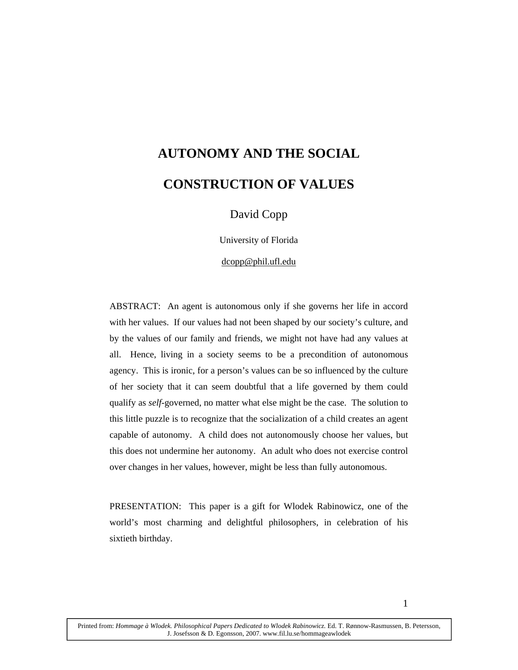# **AUTONOMY AND THE SOCIAL**

# **CONSTRUCTION OF VALUES**

David Copp

University of Florida

dcopp@phil.ufl.edu

ABSTRACT: An agent is autonomous only if she governs her life in accord with her values. If our values had not been shaped by our society's culture, and by the values of our family and friends, we might not have had any values at all. Hence, living in a society seems to be a precondition of autonomous agency. This is ironic, for a person's values can be so influenced by the culture of her society that it can seem doubtful that a life governed by them could qualify as *self*-governed, no matter what else might be the case. The solution to this little puzzle is to recognize that the socialization of a child creates an agent capable of autonomy. A child does not autonomously choose her values, but this does not undermine her autonomy. An adult who does not exercise control over changes in her values, however, might be less than fully autonomous.

PRESENTATION: This paper is a gift for Wlodek Rabinowicz, one of the world's most charming and delightful philosophers, in celebration of his sixtieth birthday.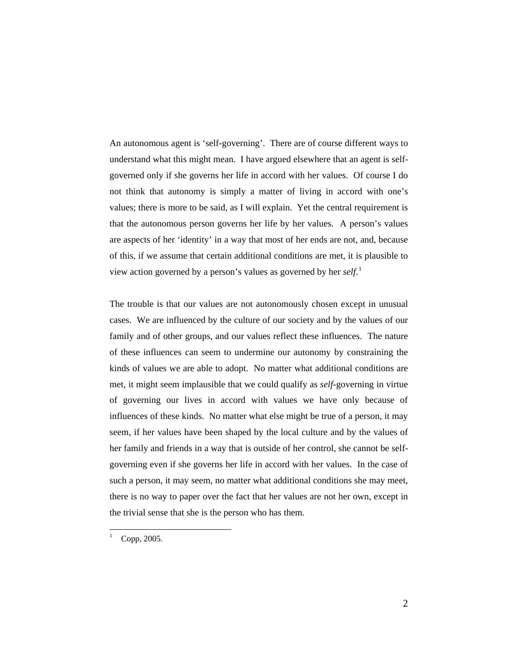An autonomous agent is 'self-governing'. There are of course different ways to understand what this might mean. I have argued elsewhere that an agent is selfgoverned only if she governs her life in accord with her values. Of course I do not think that autonomy is simply a matter of living in accord with one's values; there is more to be said, as I will explain. Yet the central requirement is that the autonomous person governs her life by her values. A person's values are aspects of her 'identity' in a way that most of her ends are not, and, because of this, if we assume that certain additional conditions are met, it is plausible to view action governed by a person's values as governed by her *self*. [1](#page-1-0)

The trouble is that our values are not autonomously chosen except in unusual cases. We are influenced by the culture of our society and by the values of our family and of other groups, and our values reflect these influences. The nature of these influences can seem to undermine our autonomy by constraining the kinds of values we are able to adopt. No matter what additional conditions are met, it might seem implausible that we could qualify as *self*-governing in virtue of governing our lives in accord with values we have only because of influences of these kinds. No matter what else might be true of a person, it may seem, if her values have been shaped by the local culture and by the values of her family and friends in a way that is outside of her control, she cannot be selfgoverning even if she governs her life in accord with her values. In the case of such a person, it may seem, no matter what additional conditions she may meet, there is no way to paper over the fact that her values are not her own, except in the trivial sense that she is the person who has them.

<span id="page-1-0"></span>-1

Copp, 2005.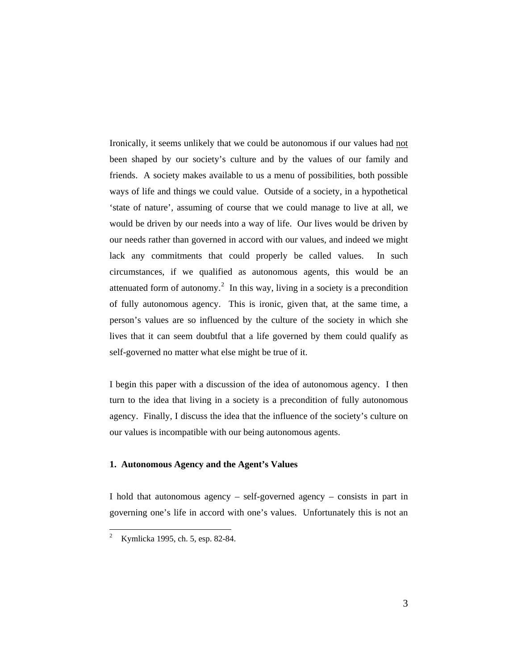Ironically, it seems unlikely that we could be autonomous if our values had not been shaped by our society's culture and by the values of our family and friends. A society makes available to us a menu of possibilities, both possible ways of life and things we could value. Outside of a society, in a hypothetical 'state of nature', assuming of course that we could manage to live at all, we would be driven by our needs into a way of life. Our lives would be driven by our needs rather than governed in accord with our values, and indeed we might lack any commitments that could properly be called values. In such circumstances, if we qualified as autonomous agents, this would be an attenuated form of autonomy.<sup>[2](#page-2-0)</sup> In this way, living in a society is a precondition of fully autonomous agency. This is ironic, given that, at the same time, a person's values are so influenced by the culture of the society in which she lives that it can seem doubtful that a life governed by them could qualify as self-governed no matter what else might be true of it.

I begin this paper with a discussion of the idea of autonomous agency. I then turn to the idea that living in a society is a precondition of fully autonomous agency. Finally, I discuss the idea that the influence of the society's culture on our values is incompatible with our being autonomous agents.

## **1. Autonomous Agency and the Agent's Values**

I hold that autonomous agency – self-governed agency – consists in part in governing one's life in accord with one's values. Unfortunately this is not an

-

<span id="page-2-0"></span><sup>2</sup> Kymlicka 1995, ch. 5, esp. 82-84.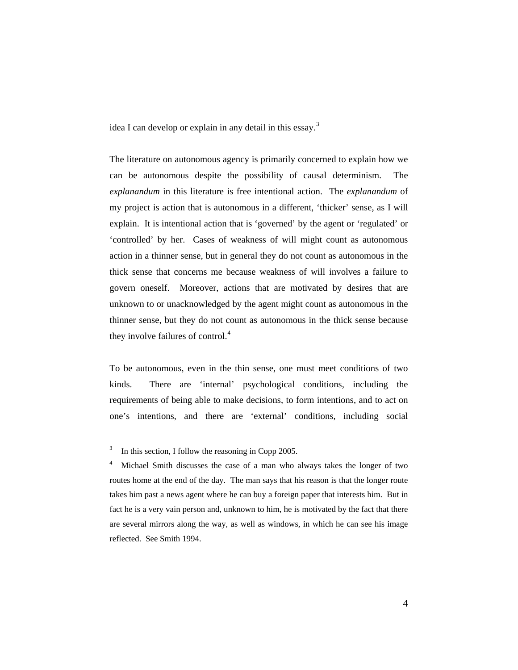idea I can develop or explain in any detail in this essay.<sup>[3](#page-3-0)</sup>

The literature on autonomous agency is primarily concerned to explain how we can be autonomous despite the possibility of causal determinism. The *explanandum* in this literature is free intentional action. The *explanandum* of my project is action that is autonomous in a different, 'thicker' sense, as I will explain. It is intentional action that is 'governed' by the agent or 'regulated' or 'controlled' by her. Cases of weakness of will might count as autonomous action in a thinner sense, but in general they do not count as autonomous in the thick sense that concerns me because weakness of will involves a failure to govern oneself. Moreover, actions that are motivated by desires that are unknown to or unacknowledged by the agent might count as autonomous in the thinner sense, but they do not count as autonomous in the thick sense because they involve failures of control.<sup>[4](#page-3-1)</sup>

To be autonomous, even in the thin sense, one must meet conditions of two kinds. There are 'internal' psychological conditions, including the requirements of being able to make decisions, to form intentions, and to act on one's intentions, and there are 'external' conditions, including social

<sup>-&</sup>lt;br>3 In this section, I follow the reasoning in Copp 2005.

<span id="page-3-1"></span><span id="page-3-0"></span><sup>4</sup> Michael Smith discusses the case of a man who always takes the longer of two routes home at the end of the day. The man says that his reason is that the longer route takes him past a news agent where he can buy a foreign paper that interests him. But in fact he is a very vain person and, unknown to him, he is motivated by the fact that there are several mirrors along the way, as well as windows, in which he can see his image reflected. See Smith 1994.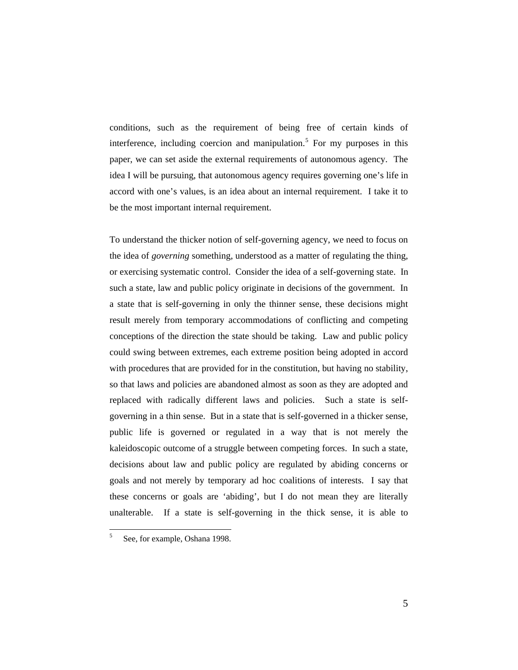conditions, such as the requirement of being free of certain kinds of interference, including coercion and manipulation.<sup>[5](#page-4-0)</sup> For my purposes in this paper, we can set aside the external requirements of autonomous agency. The idea I will be pursuing, that autonomous agency requires governing one's life in accord with one's values, is an idea about an internal requirement. I take it to be the most important internal requirement.

To understand the thicker notion of self-governing agency, we need to focus on the idea of *governing* something, understood as a matter of regulating the thing, or exercising systematic control. Consider the idea of a self-governing state. In such a state, law and public policy originate in decisions of the government. In a state that is self-governing in only the thinner sense, these decisions might result merely from temporary accommodations of conflicting and competing conceptions of the direction the state should be taking. Law and public policy could swing between extremes, each extreme position being adopted in accord with procedures that are provided for in the constitution, but having no stability, so that laws and policies are abandoned almost as soon as they are adopted and replaced with radically different laws and policies. Such a state is selfgoverning in a thin sense. But in a state that is self-governed in a thicker sense, public life is governed or regulated in a way that is not merely the kaleidoscopic outcome of a struggle between competing forces. In such a state, decisions about law and public policy are regulated by abiding concerns or goals and not merely by temporary ad hoc coalitions of interests. I say that these concerns or goals are 'abiding', but I do not mean they are literally unalterable. If a state is self-governing in the thick sense, it is able to

-

<span id="page-4-0"></span><sup>5</sup> See, for example, Oshana 1998.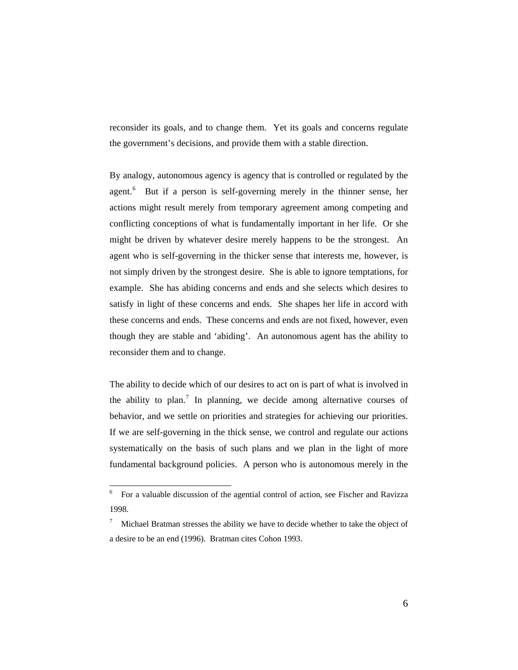reconsider its goals, and to change them. Yet its goals and concerns regulate the government's decisions, and provide them with a stable direction.

By analogy, autonomous agency is agency that is controlled or regulated by the agent.<sup>[6](#page-5-0)</sup> But if a person is self-governing merely in the thinner sense, her actions might result merely from temporary agreement among competing and conflicting conceptions of what is fundamentally important in her life. Or she might be driven by whatever desire merely happens to be the strongest. An agent who is self-governing in the thicker sense that interests me, however, is not simply driven by the strongest desire. She is able to ignore temptations, for example. She has abiding concerns and ends and she selects which desires to satisfy in light of these concerns and ends. She shapes her life in accord with these concerns and ends. These concerns and ends are not fixed, however, even though they are stable and 'abiding'. An autonomous agent has the ability to reconsider them and to change.

The ability to decide which of our desires to act on is part of what is involved in the ability to plan.<sup>[7](#page-5-1)</sup> In planning, we decide among alternative courses of behavior, and we settle on priorities and strategies for achieving our priorities. If we are self-governing in the thick sense, we control and regulate our actions systematically on the basis of such plans and we plan in the light of more fundamental background policies. A person who is autonomous merely in the

<span id="page-5-0"></span><sup>&</sup>lt;sup>6</sup> For a valuable discussion of the agential control of action, see Fischer and Ravizza 1998.

<span id="page-5-1"></span><sup>7</sup> Michael Bratman stresses the ability we have to decide whether to take the object of a desire to be an end (1996). Bratman cites Cohon 1993.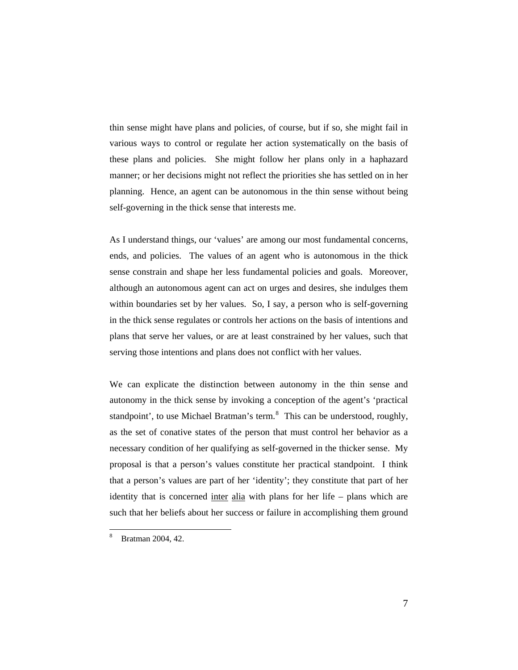thin sense might have plans and policies, of course, but if so, she might fail in various ways to control or regulate her action systematically on the basis of these plans and policies. She might follow her plans only in a haphazard manner; or her decisions might not reflect the priorities she has settled on in her planning. Hence, an agent can be autonomous in the thin sense without being self-governing in the thick sense that interests me.

As I understand things, our 'values' are among our most fundamental concerns, ends, and policies. The values of an agent who is autonomous in the thick sense constrain and shape her less fundamental policies and goals. Moreover, although an autonomous agent can act on urges and desires, she indulges them within boundaries set by her values. So, I say, a person who is self-governing in the thick sense regulates or controls her actions on the basis of intentions and plans that serve her values, or are at least constrained by her values, such that serving those intentions and plans does not conflict with her values.

We can explicate the distinction between autonomy in the thin sense and autonomy in the thick sense by invoking a conception of the agent's 'practical standpoint', to use Michael Bratman's term.<sup>[8](#page-6-0)</sup> This can be understood, roughly, as the set of conative states of the person that must control her behavior as a necessary condition of her qualifying as self-governed in the thicker sense. My proposal is that a person's values constitute her practical standpoint. I think that a person's values are part of her 'identity'; they constitute that part of her identity that is concerned inter alia with plans for her life – plans which are such that her beliefs about her success or failure in accomplishing them ground

-

<span id="page-6-0"></span><sup>8</sup> Bratman 2004, 42.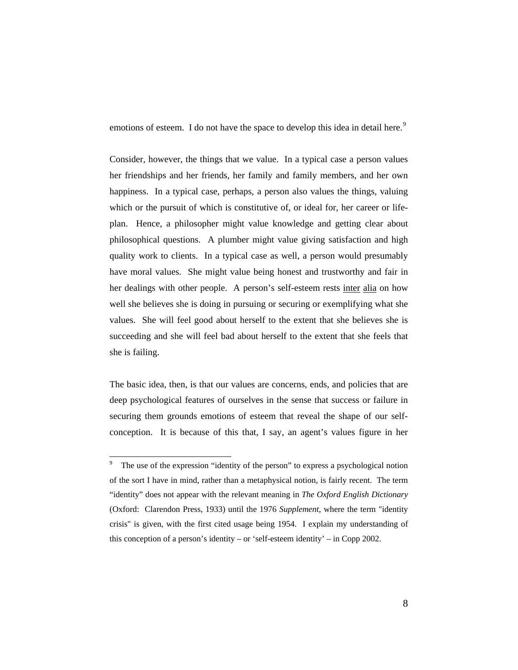emotions of esteem. I do not have the space to develop this idea in detail here.<sup>[9](#page-7-0)</sup>

Consider, however, the things that we value. In a typical case a person values her friendships and her friends, her family and family members, and her own happiness. In a typical case, perhaps, a person also values the things, valuing which or the pursuit of which is constitutive of, or ideal for, her career or lifeplan. Hence, a philosopher might value knowledge and getting clear about philosophical questions. A plumber might value giving satisfaction and high quality work to clients. In a typical case as well, a person would presumably have moral values. She might value being honest and trustworthy and fair in her dealings with other people. A person's self-esteem rests inter alia on how well she believes she is doing in pursuing or securing or exemplifying what she values. She will feel good about herself to the extent that she believes she is succeeding and she will feel bad about herself to the extent that she feels that she is failing.

The basic idea, then, is that our values are concerns, ends, and policies that are deep psychological features of ourselves in the sense that success or failure in securing them grounds emotions of esteem that reveal the shape of our selfconception. It is because of this that, I say, an agent's values figure in her

 $\overline{a}$ 

<span id="page-7-0"></span><sup>9</sup> The use of the expression "identity of the person" to express a psychological notion of the sort I have in mind, rather than a metaphysical notion, is fairly recent. The term "identity" does not appear with the relevant meaning in *The Oxford English Dictionary* (Oxford: Clarendon Press, 1933) until the 1976 *Supplement*, where the term "identity crisis" is given, with the first cited usage being 1954. I explain my understanding of this conception of a person's identity – or 'self-esteem identity' – in Copp 2002.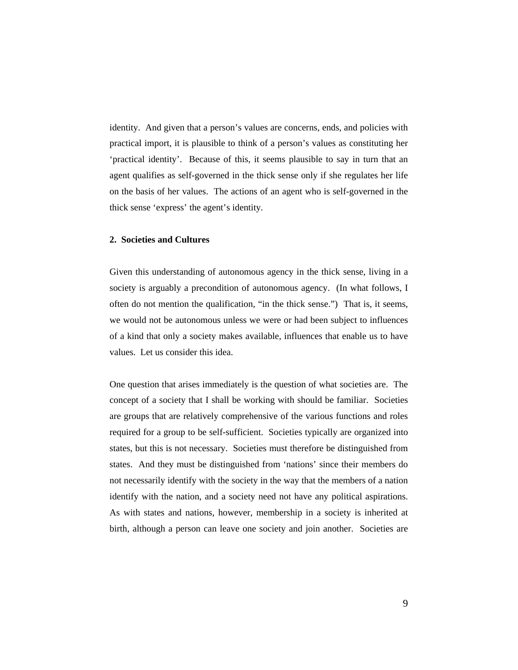identity. And given that a person's values are concerns, ends, and policies with practical import, it is plausible to think of a person's values as constituting her 'practical identity'. Because of this, it seems plausible to say in turn that an agent qualifies as self-governed in the thick sense only if she regulates her life on the basis of her values. The actions of an agent who is self-governed in the thick sense 'express' the agent's identity.

#### **2. Societies and Cultures**

Given this understanding of autonomous agency in the thick sense, living in a society is arguably a precondition of autonomous agency. (In what follows, I often do not mention the qualification, "in the thick sense.") That is, it seems, we would not be autonomous unless we were or had been subject to influences of a kind that only a society makes available, influences that enable us to have values. Let us consider this idea.

One question that arises immediately is the question of what societies are. The concept of a society that I shall be working with should be familiar. Societies are groups that are relatively comprehensive of the various functions and roles required for a group to be self-sufficient. Societies typically are organized into states, but this is not necessary. Societies must therefore be distinguished from states. And they must be distinguished from 'nations' since their members do not necessarily identify with the society in the way that the members of a nation identify with the nation, and a society need not have any political aspirations. As with states and nations, however, membership in a society is inherited at birth, although a person can leave one society and join another. Societies are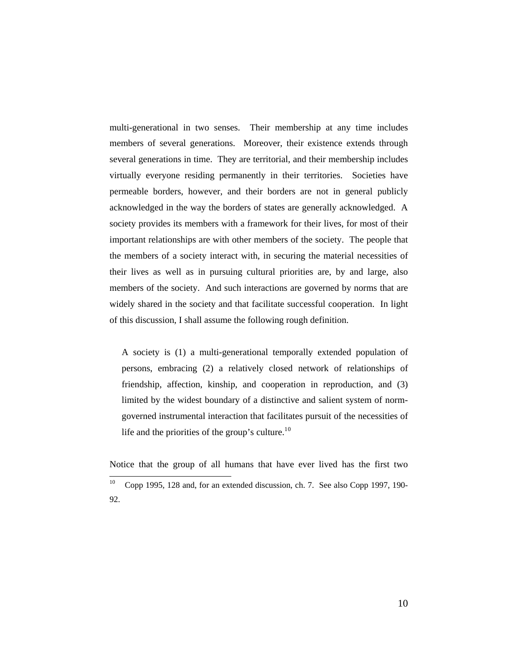multi-generational in two senses. Their membership at any time includes members of several generations. Moreover, their existence extends through several generations in time. They are territorial, and their membership includes virtually everyone residing permanently in their territories. Societies have permeable borders, however, and their borders are not in general publicly acknowledged in the way the borders of states are generally acknowledged. A society provides its members with a framework for their lives, for most of their important relationships are with other members of the society. The people that the members of a society interact with, in securing the material necessities of their lives as well as in pursuing cultural priorities are, by and large, also members of the society. And such interactions are governed by norms that are widely shared in the society and that facilitate successful cooperation. In light of this discussion, I shall assume the following rough definition.

A society is (1) a multi-generational temporally extended population of persons, embracing (2) a relatively closed network of relationships of friendship, affection, kinship, and cooperation in reproduction, and (3) limited by the widest boundary of a distinctive and salient system of normgoverned instrumental interaction that facilitates pursuit of the necessities of life and the priorities of the group's culture. $10$  $10$ 

Notice that the group of all humans that have ever lived has the first two

<span id="page-9-0"></span> $10<sup>-10</sup>$ 10 Copp 1995, 128 and, for an extended discussion, ch. 7. See also Copp 1997, 190- 92.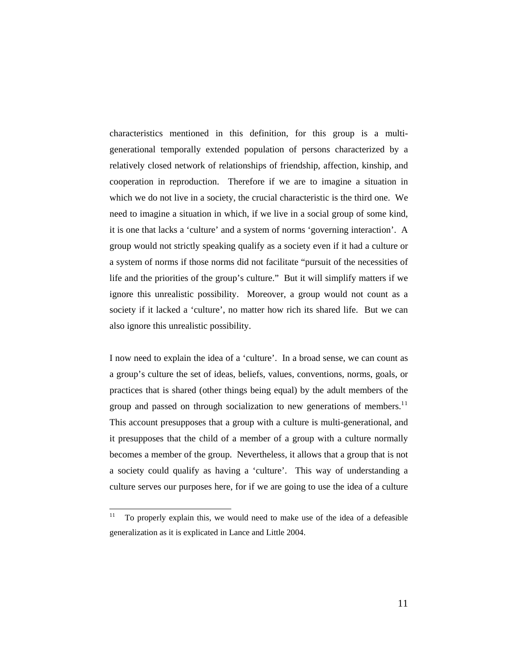characteristics mentioned in this definition, for this group is a multigenerational temporally extended population of persons characterized by a relatively closed network of relationships of friendship, affection, kinship, and cooperation in reproduction. Therefore if we are to imagine a situation in which we do not live in a society, the crucial characteristic is the third one. We need to imagine a situation in which, if we live in a social group of some kind, it is one that lacks a 'culture' and a system of norms 'governing interaction'. A group would not strictly speaking qualify as a society even if it had a culture or a system of norms if those norms did not facilitate "pursuit of the necessities of life and the priorities of the group's culture." But it will simplify matters if we ignore this unrealistic possibility. Moreover, a group would not count as a society if it lacked a 'culture', no matter how rich its shared life. But we can also ignore this unrealistic possibility.

I now need to explain the idea of a 'culture'. In a broad sense, we can count as a group's culture the set of ideas, beliefs, values, conventions, norms, goals, or practices that is shared (other things being equal) by the adult members of the group and passed on through socialization to new generations of members.<sup>[1](#page-10-0)1</sup> This account presupposes that a group with a culture is multi-generational, and it presupposes that the child of a member of a group with a culture normally becomes a member of the group. Nevertheless, it allows that a group that is not a society could qualify as having a 'culture'. This way of understanding a culture serves our purposes here, for if we are going to use the idea of a culture

<span id="page-10-0"></span> $11$ 11 To properly explain this, we would need to make use of the idea of a defeasible generalization as it is explicated in Lance and Little 2004.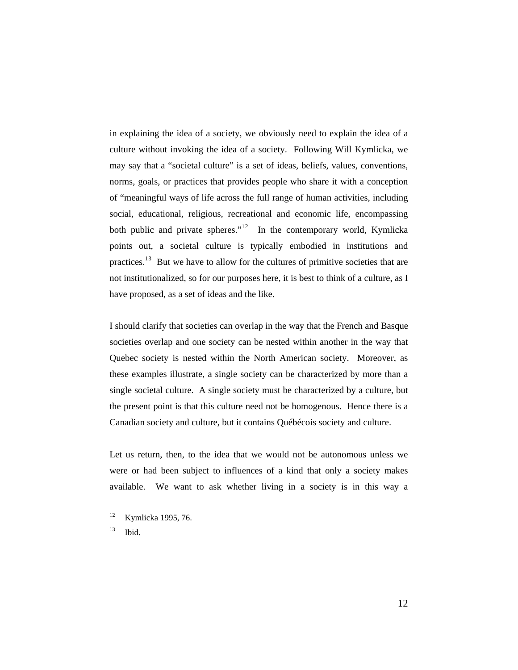in explaining the idea of a society, we obviously need to explain the idea of a culture without invoking the idea of a society. Following Will Kymlicka, we may say that a "societal culture" is a set of ideas, beliefs, values, conventions, norms, goals, or practices that provides people who share it with a conception of "meaningful ways of life across the full range of human activities, including social, educational, religious, recreational and economic life, encompassing both public and private spheres." $12$  $12$  In the contemporary world, Kymlicka points out, a societal culture is typically embodied in institutions and practices.<sup>1[3](#page-11-1)</sup> But we have to allow for the cultures of primitive societies that are not institutionalized, so for our purposes here, it is best to think of a culture, as I have proposed, as a set of ideas and the like.

I should clarify that societies can overlap in the way that the French and Basque societies overlap and one society can be nested within another in the way that Quebec society is nested within the North American society. Moreover, as these examples illustrate, a single society can be characterized by more than a single societal culture. A single society must be characterized by a culture, but the present point is that this culture need not be homogenous. Hence there is a Canadian society and culture, but it contains Québécois society and culture.

Let us return, then, to the idea that we would not be autonomous unless we were or had been subject to influences of a kind that only a society makes available. We want to ask whether living in a society is in this way a

<span id="page-11-0"></span> $12$ Kymlicka 1995, 76.

<span id="page-11-1"></span> $13$  Ibid.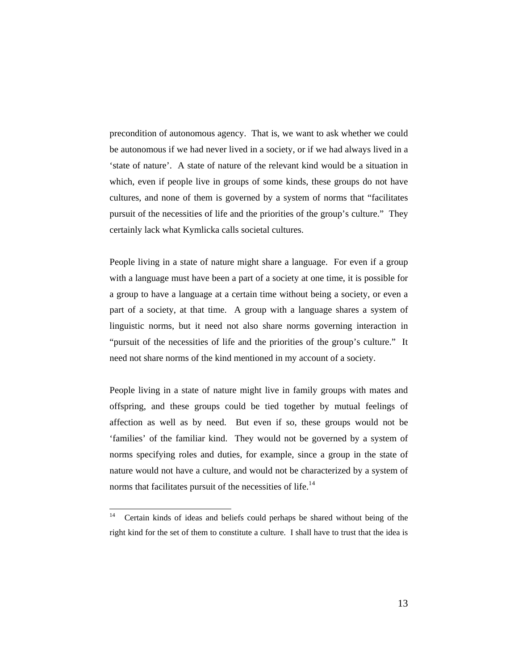precondition of autonomous agency. That is, we want to ask whether we could be autonomous if we had never lived in a society, or if we had always lived in a 'state of nature'. A state of nature of the relevant kind would be a situation in which, even if people live in groups of some kinds, these groups do not have cultures, and none of them is governed by a system of norms that "facilitates pursuit of the necessities of life and the priorities of the group's culture." They certainly lack what Kymlicka calls societal cultures.

People living in a state of nature might share a language. For even if a group with a language must have been a part of a society at one time, it is possible for a group to have a language at a certain time without being a society, or even a part of a society, at that time. A group with a language shares a system of linguistic norms, but it need not also share norms governing interaction in "pursuit of the necessities of life and the priorities of the group's culture." It need not share norms of the kind mentioned in my account of a society.

People living in a state of nature might live in family groups with mates and offspring, and these groups could be tied together by mutual feelings of affection as well as by need. But even if so, these groups would not be 'families' of the familiar kind. They would not be governed by a system of norms specifying roles and duties, for example, since a group in the state of nature would not have a culture, and would not be characterized by a system of norms that facilitates pursuit of the necessities of life.<sup>1[4](#page-12-0)</sup>

<span id="page-12-0"></span><sup>14</sup> Certain kinds of ideas and beliefs could perhaps be shared without being of the right kind for the set of them to constitute a culture. I shall have to trust that the idea is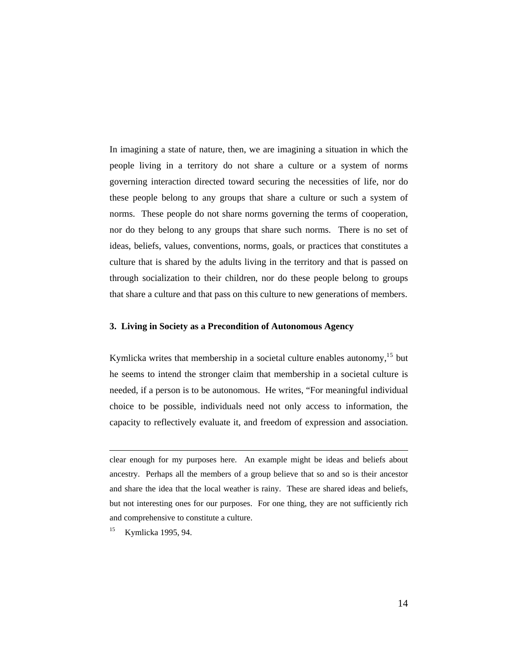In imagining a state of nature, then, we are imagining a situation in which the people living in a territory do not share a culture or a system of norms governing interaction directed toward securing the necessities of life, nor do these people belong to any groups that share a culture or such a system of norms. These people do not share norms governing the terms of cooperation, nor do they belong to any groups that share such norms. There is no set of ideas, beliefs, values, conventions, norms, goals, or practices that constitutes a culture that is shared by the adults living in the territory and that is passed on through socialization to their children, nor do these people belong to groups that share a culture and that pass on this culture to new generations of members.

### **3. Living in Society as a Precondition of Autonomous Agency**

Kymlicka writes that membership in a societal culture enables autonomy,<sup>1[5](#page-13-0)</sup> but he seems to intend the stronger claim that membership in a societal culture is needed, if a person is to be autonomous. He writes, "For meaningful individual choice to be possible, individuals need not only access to information, the capacity to reflectively evaluate it, and freedom of expression and association.

<span id="page-13-0"></span>15 Kymlicka 1995, 94.

1

clear enough for my purposes here. An example might be ideas and beliefs about ancestry. Perhaps all the members of a group believe that so and so is their ancestor and share the idea that the local weather is rainy. These are shared ideas and beliefs, but not interesting ones for our purposes. For one thing, they are not sufficiently rich and comprehensive to constitute a culture.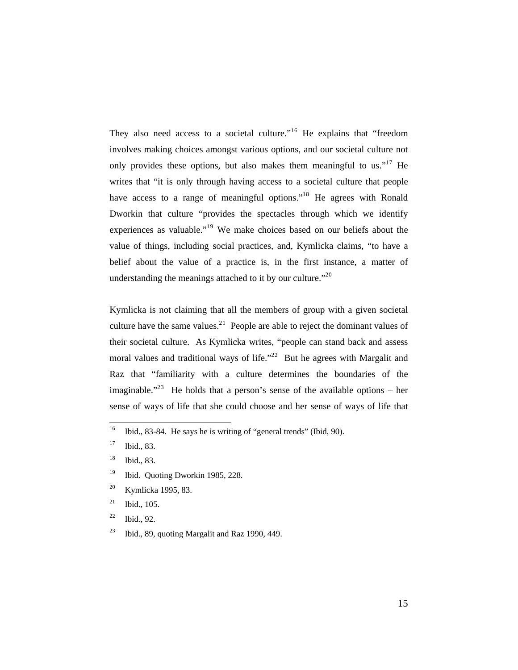They also need access to a societal culture."<sup>1[6](#page-14-0)</sup> He explains that "freedom involves making choices amongst various options, and our societal culture not only provides these options, but also makes them meaningful to us."<sup>1[7](#page-14-1)</sup> He writes that "it is only through having access to a societal culture that people have access to a range of meaningful options."<sup>1[8](#page-14-2)</sup> He agrees with Ronald Dworkin that culture "provides the spectacles through which we identify experiences as valuable."<sup>1[9](#page-14-3)</sup> We make choices based on our beliefs about the value of things, including social practices, and, Kymlicka claims, "to have a belief about the value of a practice is, in the first instance, a matter of understanding the meanings attached to it by our culture."<sup>2[0](#page-14-4)</sup>

Kymlicka is not claiming that all the members of group with a given societal culture have the same values.<sup>2[1](#page-14-5)</sup> People are able to reject the dominant values of their societal culture. As Kymlicka writes, "people can stand back and assess moral values and traditional ways of life. $12^2$  $12^2$  $12^2$  But he agrees with Margalit and Raz that "familiarity with a culture determines the boundaries of the imaginable."<sup>2[3](#page-14-7)</sup> He holds that a person's sense of the available options – her sense of ways of life that she could choose and her sense of ways of life that

<span id="page-14-4"></span>20 Kymlicka 1995, 83.

<span id="page-14-6"></span> $22$  Ibid., 92.

<span id="page-14-0"></span> $16\,$ 16 Ibid., 83-84. He says he is writing of "general trends" (Ibid, 90).

<span id="page-14-1"></span><sup>17</sup> Ibid., 83.

<span id="page-14-2"></span><sup>18</sup> Ibid., 83.

<span id="page-14-3"></span><sup>&</sup>lt;sup>19</sup> Ibid. Quoting Dworkin 1985, 228.

<span id="page-14-5"></span><sup>21</sup> Ibid., 105.

<span id="page-14-7"></span> $23$  Ibid., 89, quoting Margalit and Raz 1990, 449.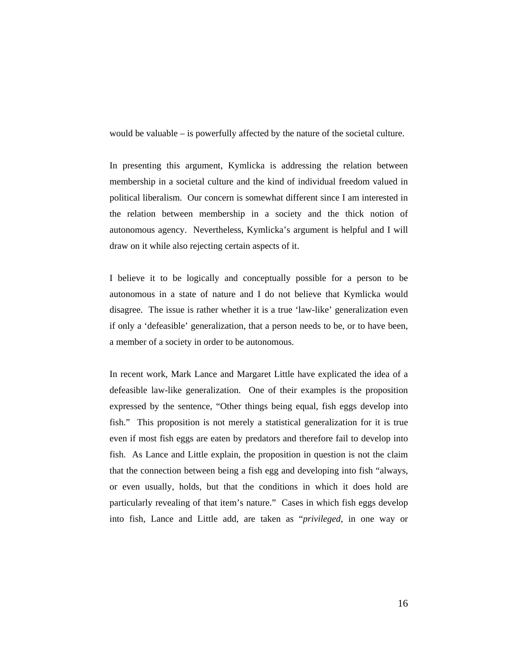would be valuable – is powerfully affected by the nature of the societal culture.

In presenting this argument, Kymlicka is addressing the relation between membership in a societal culture and the kind of individual freedom valued in political liberalism. Our concern is somewhat different since I am interested in the relation between membership in a society and the thick notion of autonomous agency. Nevertheless, Kymlicka's argument is helpful and I will draw on it while also rejecting certain aspects of it.

I believe it to be logically and conceptually possible for a person to be autonomous in a state of nature and I do not believe that Kymlicka would disagree. The issue is rather whether it is a true 'law-like' generalization even if only a 'defeasible' generalization, that a person needs to be, or to have been, a member of a society in order to be autonomous.

In recent work, Mark Lance and Margaret Little have explicated the idea of a defeasible law-like generalization. One of their examples is the proposition expressed by the sentence, "Other things being equal, fish eggs develop into fish." This proposition is not merely a statistical generalization for it is true even if most fish eggs are eaten by predators and therefore fail to develop into fish. As Lance and Little explain, the proposition in question is not the claim that the connection between being a fish egg and developing into fish "always, or even usually, holds, but that the conditions in which it does hold are particularly revealing of that item's nature." Cases in which fish eggs develop into fish, Lance and Little add, are taken as "*privileged*, in one way or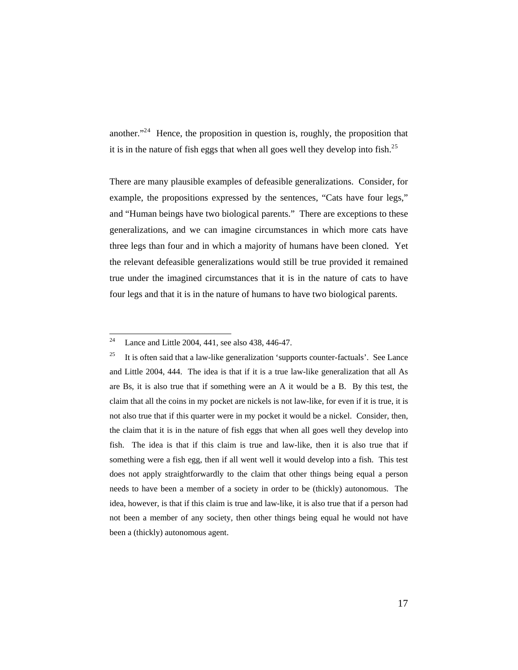another. $124$  $124$  Hence, the proposition in question is, roughly, the proposition that it is in the nature of fish eggs that when all goes well they develop into fish. $^{25}$  $^{25}$  $^{25}$ 

There are many plausible examples of defeasible generalizations. Consider, for example, the propositions expressed by the sentences, "Cats have four legs," and "Human beings have two biological parents." There are exceptions to these generalizations, and we can imagine circumstances in which more cats have three legs than four and in which a majority of humans have been cloned. Yet the relevant defeasible generalizations would still be true provided it remained true under the imagined circumstances that it is in the nature of cats to have four legs and that it is in the nature of humans to have two biological parents.

<span id="page-16-0"></span><sup>24</sup> Lance and Little 2004, 441, see also 438, 446-47.

<span id="page-16-1"></span><sup>&</sup>lt;sup>25</sup> It is often said that a law-like generalization 'supports counter-factuals'. See Lance and Little 2004, 444. The idea is that if it is a true law-like generalization that all As are Bs, it is also true that if something were an A it would be a B. By this test, the claim that all the coins in my pocket are nickels is not law-like, for even if it is true, it is not also true that if this quarter were in my pocket it would be a nickel. Consider, then, the claim that it is in the nature of fish eggs that when all goes well they develop into fish. The idea is that if this claim is true and law-like, then it is also true that if something were a fish egg, then if all went well it would develop into a fish. This test does not apply straightforwardly to the claim that other things being equal a person needs to have been a member of a society in order to be (thickly) autonomous. The idea, however, is that if this claim is true and law-like, it is also true that if a person had not been a member of any society, then other things being equal he would not have been a (thickly) autonomous agent.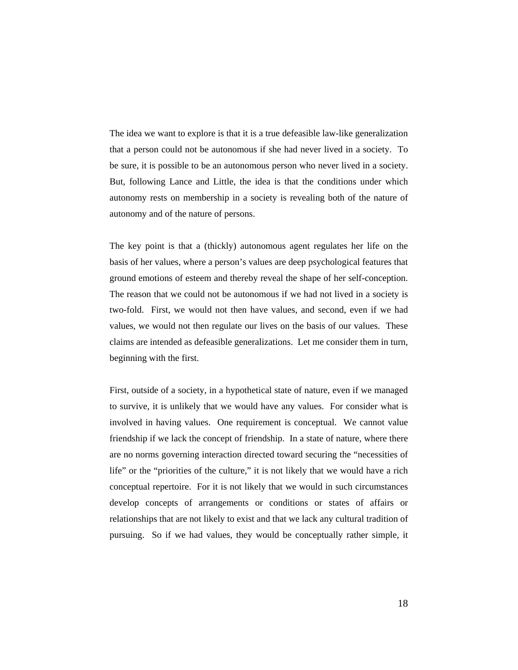The idea we want to explore is that it is a true defeasible law-like generalization that a person could not be autonomous if she had never lived in a society. To be sure, it is possible to be an autonomous person who never lived in a society. But, following Lance and Little, the idea is that the conditions under which autonomy rests on membership in a society is revealing both of the nature of autonomy and of the nature of persons.

The key point is that a (thickly) autonomous agent regulates her life on the basis of her values, where a person's values are deep psychological features that ground emotions of esteem and thereby reveal the shape of her self-conception. The reason that we could not be autonomous if we had not lived in a society is two-fold. First, we would not then have values, and second, even if we had values, we would not then regulate our lives on the basis of our values. These claims are intended as defeasible generalizations. Let me consider them in turn, beginning with the first.

First, outside of a society, in a hypothetical state of nature, even if we managed to survive, it is unlikely that we would have any values. For consider what is involved in having values. One requirement is conceptual. We cannot value friendship if we lack the concept of friendship. In a state of nature, where there are no norms governing interaction directed toward securing the "necessities of life" or the "priorities of the culture," it is not likely that we would have a rich conceptual repertoire. For it is not likely that we would in such circumstances develop concepts of arrangements or conditions or states of affairs or relationships that are not likely to exist and that we lack any cultural tradition of pursuing. So if we had values, they would be conceptually rather simple, it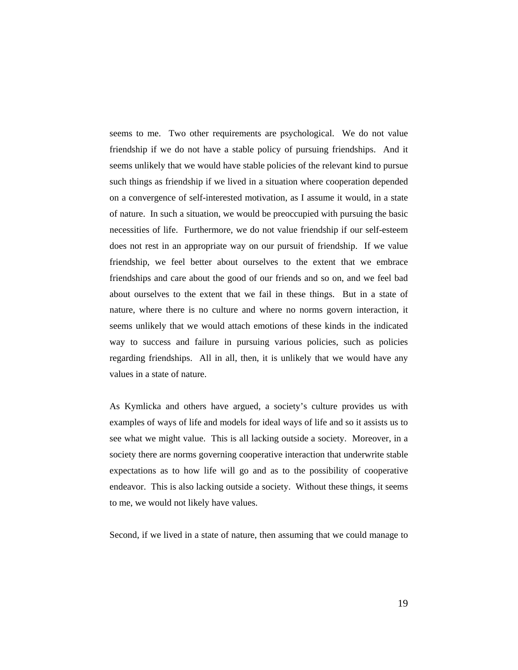seems to me. Two other requirements are psychological. We do not value friendship if we do not have a stable policy of pursuing friendships. And it seems unlikely that we would have stable policies of the relevant kind to pursue such things as friendship if we lived in a situation where cooperation depended on a convergence of self-interested motivation, as I assume it would, in a state of nature. In such a situation, we would be preoccupied with pursuing the basic necessities of life. Furthermore, we do not value friendship if our self-esteem does not rest in an appropriate way on our pursuit of friendship. If we value friendship, we feel better about ourselves to the extent that we embrace friendships and care about the good of our friends and so on, and we feel bad about ourselves to the extent that we fail in these things. But in a state of nature, where there is no culture and where no norms govern interaction, it seems unlikely that we would attach emotions of these kinds in the indicated way to success and failure in pursuing various policies, such as policies regarding friendships. All in all, then, it is unlikely that we would have any values in a state of nature.

As Kymlicka and others have argued, a society's culture provides us with examples of ways of life and models for ideal ways of life and so it assists us to see what we might value. This is all lacking outside a society. Moreover, in a society there are norms governing cooperative interaction that underwrite stable expectations as to how life will go and as to the possibility of cooperative endeavor. This is also lacking outside a society. Without these things, it seems to me, we would not likely have values.

Second, if we lived in a state of nature, then assuming that we could manage to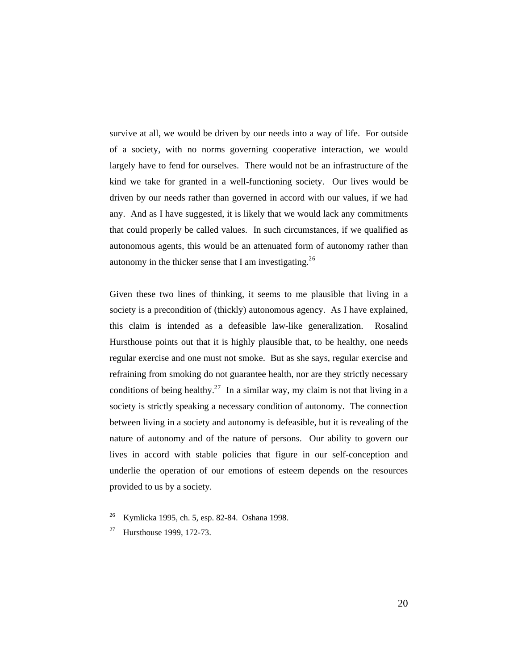survive at all, we would be driven by our needs into a way of life. For outside of a society, with no norms governing cooperative interaction, we would largely have to fend for ourselves. There would not be an infrastructure of the kind we take for granted in a well-functioning society. Our lives would be driven by our needs rather than governed in accord with our values, if we had any. And as I have suggested, it is likely that we would lack any commitments that could properly be called values. In such circumstances, if we qualified as autonomous agents, this would be an attenuated form of autonomy rather than autonomy in the thicker sense that I am investigating.<sup>2[6](#page-19-0)</sup>

 Given these two lines of thinking, it seems to me plausible that living in a society is a precondition of (thickly) autonomous agency. As I have explained, this claim is intended as a defeasible law-like generalization. Rosalind Hursthouse points out that it is highly plausible that, to be healthy, one needs regular exercise and one must not smoke. But as she says, regular exercise and refraining from smoking do not guarantee health, nor are they strictly necessary conditions of being healthy.<sup>2[7](#page-19-1)</sup> In a similar way, my claim is not that living in a society is strictly speaking a necessary condition of autonomy. The connection between living in a society and autonomy is defeasible, but it is revealing of the nature of autonomy and of the nature of persons. Our ability to govern our lives in accord with stable policies that figure in our self-conception and underlie the operation of our emotions of esteem depends on the resources provided to us by a society.

1

<sup>26</sup> Kymlicka 1995, ch. 5, esp. 82-84. Oshana 1998.

<span id="page-19-1"></span><span id="page-19-0"></span><sup>27</sup> Hursthouse 1999, 172-73.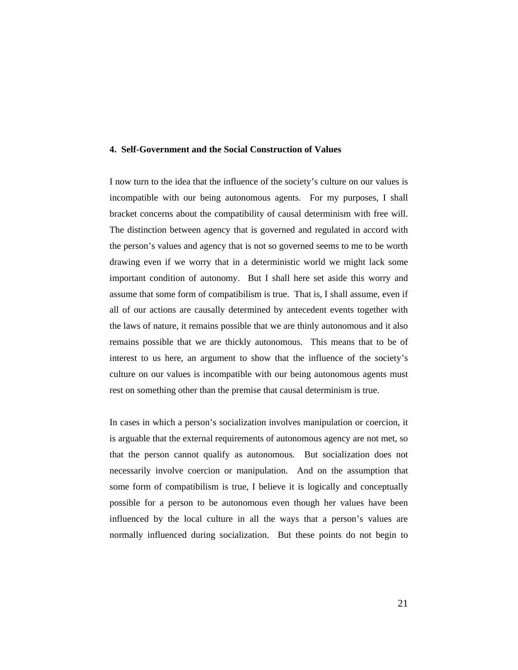#### **4. Self-Government and the Social Construction of Values**

 I now turn to the idea that the influence of the society's culture on our values is incompatible with our being autonomous agents. For my purposes, I shall bracket concerns about the compatibility of causal determinism with free will. The distinction between agency that is governed and regulated in accord with the person's values and agency that is not so governed seems to me to be worth drawing even if we worry that in a deterministic world we might lack some important condition of autonomy. But I shall here set aside this worry and assume that some form of compatibilism is true. That is, I shall assume, even if all of our actions are causally determined by antecedent events together with the laws of nature, it remains possible that we are thinly autonomous and it also remains possible that we are thickly autonomous. This means that to be of interest to us here, an argument to show that the influence of the society's culture on our values is incompatible with our being autonomous agents must rest on something other than the premise that causal determinism is true.

 In cases in which a person's socialization involves manipulation or coercion, it is arguable that the external requirements of autonomous agency are not met, so that the person cannot qualify as autonomous. But socialization does not necessarily involve coercion or manipulation. And on the assumption that some form of compatibilism is true, I believe it is logically and conceptually possible for a person to be autonomous even though her values have been influenced by the local culture in all the ways that a person's values are normally influenced during socialization. But these points do not begin to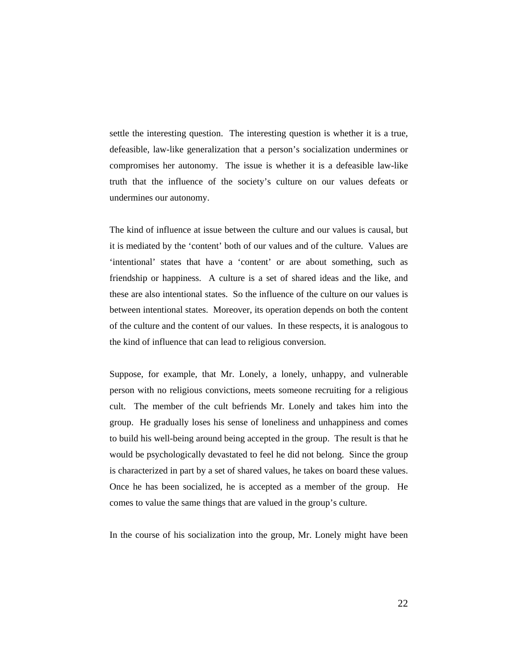settle the interesting question. The interesting question is whether it is a true, defeasible, law-like generalization that a person's socialization undermines or compromises her autonomy. The issue is whether it is a defeasible law-like truth that the influence of the society's culture on our values defeats or undermines our autonomy.

 The kind of influence at issue between the culture and our values is causal, but it is mediated by the 'content' both of our values and of the culture. Values are 'intentional' states that have a 'content' or are about something, such as friendship or happiness. A culture is a set of shared ideas and the like, and these are also intentional states. So the influence of the culture on our values is between intentional states. Moreover, its operation depends on both the content of the culture and the content of our values. In these respects, it is analogous to the kind of influence that can lead to religious conversion.

 Suppose, for example, that Mr. Lonely, a lonely, unhappy, and vulnerable person with no religious convictions, meets someone recruiting for a religious cult. The member of the cult befriends Mr. Lonely and takes him into the group. He gradually loses his sense of loneliness and unhappiness and comes to build his well-being around being accepted in the group. The result is that he would be psychologically devastated to feel he did not belong. Since the group is characterized in part by a set of shared values, he takes on board these values. Once he has been socialized, he is accepted as a member of the group. He comes to value the same things that are valued in the group's culture.

In the course of his socialization into the group, Mr. Lonely might have been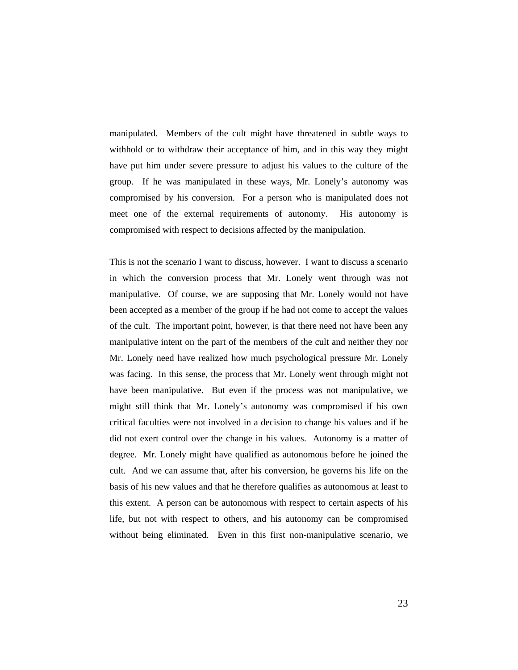manipulated. Members of the cult might have threatened in subtle ways to withhold or to withdraw their acceptance of him, and in this way they might have put him under severe pressure to adjust his values to the culture of the group. If he was manipulated in these ways, Mr. Lonely's autonomy was compromised by his conversion. For a person who is manipulated does not meet one of the external requirements of autonomy. His autonomy is compromised with respect to decisions affected by the manipulation.

 This is not the scenario I want to discuss, however. I want to discuss a scenario in which the conversion process that Mr. Lonely went through was not manipulative. Of course, we are supposing that Mr. Lonely would not have been accepted as a member of the group if he had not come to accept the values of the cult. The important point, however, is that there need not have been any manipulative intent on the part of the members of the cult and neither they nor Mr. Lonely need have realized how much psychological pressure Mr. Lonely was facing. In this sense, the process that Mr. Lonely went through might not have been manipulative. But even if the process was not manipulative, we might still think that Mr. Lonely's autonomy was compromised if his own critical faculties were not involved in a decision to change his values and if he did not exert control over the change in his values. Autonomy is a matter of degree. Mr. Lonely might have qualified as autonomous before he joined the cult. And we can assume that, after his conversion, he governs his life on the basis of his new values and that he therefore qualifies as autonomous at least to this extent. A person can be autonomous with respect to certain aspects of his life, but not with respect to others, and his autonomy can be compromised without being eliminated. Even in this first non-manipulative scenario, we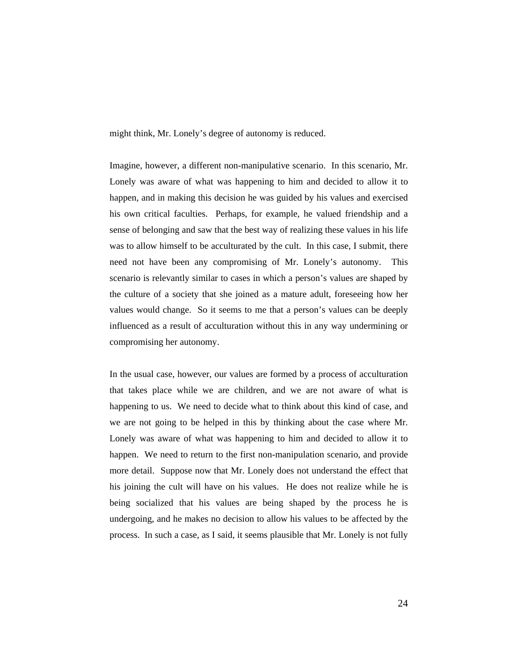might think, Mr. Lonely's degree of autonomy is reduced.

 Imagine, however, a different non-manipulative scenario. In this scenario, Mr. Lonely was aware of what was happening to him and decided to allow it to happen, and in making this decision he was guided by his values and exercised his own critical faculties. Perhaps, for example, he valued friendship and a sense of belonging and saw that the best way of realizing these values in his life was to allow himself to be acculturated by the cult. In this case, I submit, there need not have been any compromising of Mr. Lonely's autonomy. This scenario is relevantly similar to cases in which a person's values are shaped by the culture of a society that she joined as a mature adult, foreseeing how her values would change. So it seems to me that a person's values can be deeply influenced as a result of acculturation without this in any way undermining or compromising her autonomy.

 In the usual case, however, our values are formed by a process of acculturation that takes place while we are children, and we are not aware of what is happening to us. We need to decide what to think about this kind of case, and we are not going to be helped in this by thinking about the case where Mr. Lonely was aware of what was happening to him and decided to allow it to happen. We need to return to the first non-manipulation scenario, and provide more detail. Suppose now that Mr. Lonely does not understand the effect that his joining the cult will have on his values. He does not realize while he is being socialized that his values are being shaped by the process he is undergoing, and he makes no decision to allow his values to be affected by the process. In such a case, as I said, it seems plausible that Mr. Lonely is not fully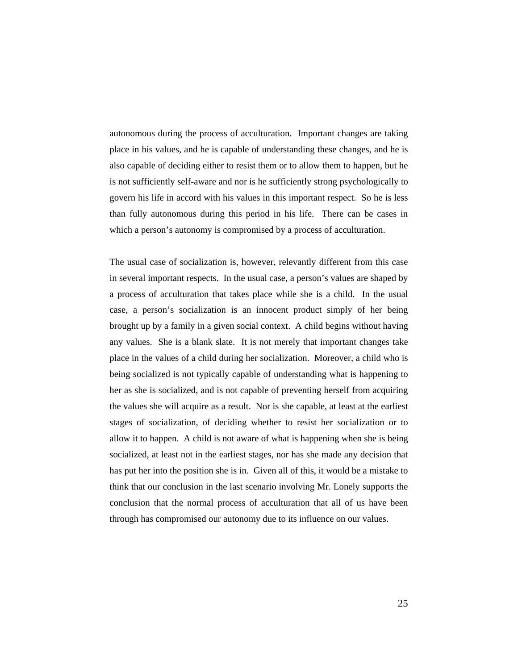autonomous during the process of acculturation. Important changes are taking place in his values, and he is capable of understanding these changes, and he is also capable of deciding either to resist them or to allow them to happen, but he is not sufficiently self-aware and nor is he sufficiently strong psychologically to govern his life in accord with his values in this important respect. So he is less than fully autonomous during this period in his life. There can be cases in which a person's autonomy is compromised by a process of acculturation.

 The usual case of socialization is, however, relevantly different from this case in several important respects. In the usual case, a person's values are shaped by a process of acculturation that takes place while she is a child. In the usual case, a person's socialization is an innocent product simply of her being brought up by a family in a given social context. A child begins without having any values. She is a blank slate. It is not merely that important changes take place in the values of a child during her socialization. Moreover, a child who is being socialized is not typically capable of understanding what is happening to her as she is socialized, and is not capable of preventing herself from acquiring the values she will acquire as a result. Nor is she capable, at least at the earliest stages of socialization, of deciding whether to resist her socialization or to allow it to happen. A child is not aware of what is happening when she is being socialized, at least not in the earliest stages, nor has she made any decision that has put her into the position she is in. Given all of this, it would be a mistake to think that our conclusion in the last scenario involving Mr. Lonely supports the conclusion that the normal process of acculturation that all of us have been through has compromised our autonomy due to its influence on our values.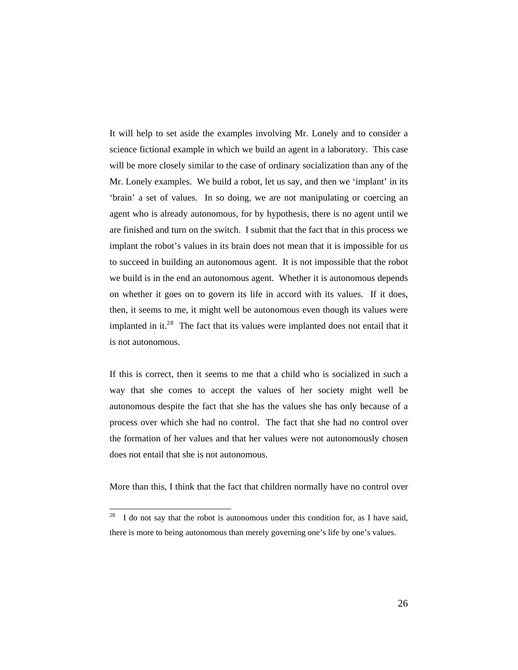It will help to set aside the examples involving Mr. Lonely and to consider a science fictional example in which we build an agent in a laboratory. This case will be more closely similar to the case of ordinary socialization than any of the Mr. Lonely examples. We build a robot, let us say, and then we 'implant' in its 'brain' a set of values. In so doing, we are not manipulating or coercing an agent who is already autonomous, for by hypothesis, there is no agent until we are finished and turn on the switch. I submit that the fact that in this process we implant the robot's values in its brain does not mean that it is impossible for us to succeed in building an autonomous agent. It is not impossible that the robot we build is in the end an autonomous agent. Whether it is autonomous depends on whether it goes on to govern its life in accord with its values. If it does, then, it seems to me, it might well be autonomous even though its values were implanted in it.<sup>2[8](#page-25-0)</sup> The fact that its values were implanted does not entail that it is not autonomous.

 If this is correct, then it seems to me that a child who is socialized in such a way that she comes to accept the values of her society might well be autonomous despite the fact that she has the values she has only because of a process over which she had no control. The fact that she had no control over the formation of her values and that her values were not autonomously chosen does not entail that she is not autonomous.

More than this, I think that the fact that children normally have no control over

1

<span id="page-25-0"></span>I do not say that the robot is autonomous under this condition for, as I have said, there is more to being autonomous than merely governing one's life by one's values.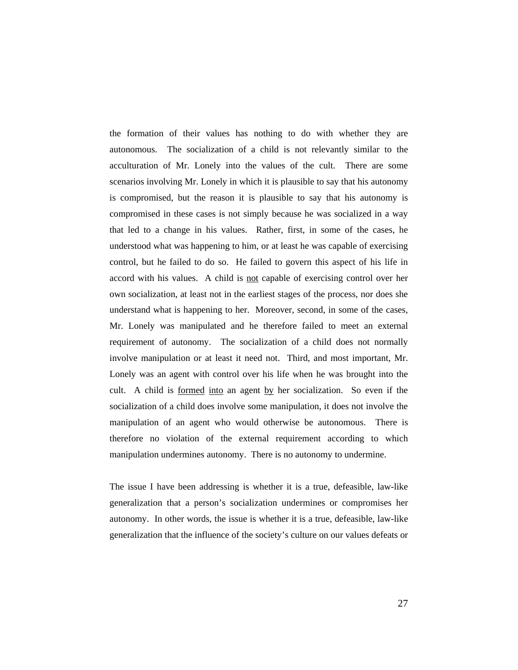the formation of their values has nothing to do with whether they are autonomous. The socialization of a child is not relevantly similar to the acculturation of Mr. Lonely into the values of the cult. There are some scenarios involving Mr. Lonely in which it is plausible to say that his autonomy is compromised, but the reason it is plausible to say that his autonomy is compromised in these cases is not simply because he was socialized in a way that led to a change in his values. Rather, first, in some of the cases, he understood what was happening to him, or at least he was capable of exercising control, but he failed to do so. He failed to govern this aspect of his life in accord with his values. A child is not capable of exercising control over her own socialization, at least not in the earliest stages of the process, nor does she understand what is happening to her. Moreover, second, in some of the cases, Mr. Lonely was manipulated and he therefore failed to meet an external requirement of autonomy. The socialization of a child does not normally involve manipulation or at least it need not. Third, and most important, Mr. Lonely was an agent with control over his life when he was brought into the cult. A child is <u>formed into</u> an agent by her socialization. So even if the socialization of a child does involve some manipulation, it does not involve the manipulation of an agent who would otherwise be autonomous. There is therefore no violation of the external requirement according to which manipulation undermines autonomy. There is no autonomy to undermine.

 The issue I have been addressing is whether it is a true, defeasible, law-like generalization that a person's socialization undermines or compromises her autonomy. In other words, the issue is whether it is a true, defeasible, law-like generalization that the influence of the society's culture on our values defeats or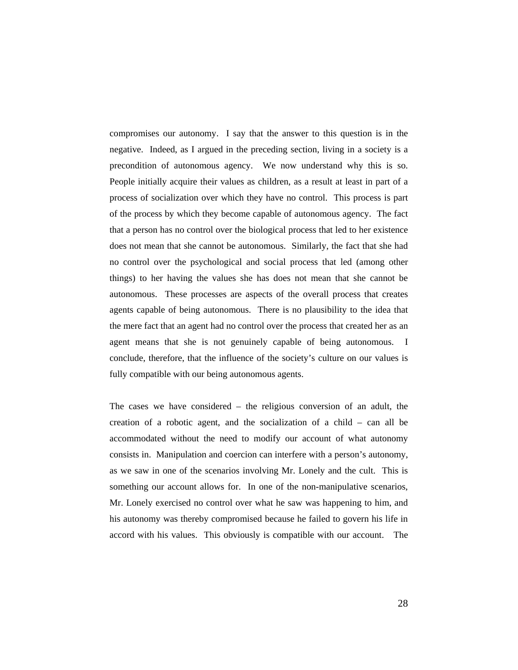compromises our autonomy. I say that the answer to this question is in the negative. Indeed, as I argued in the preceding section, living in a society is a precondition of autonomous agency. We now understand why this is so. People initially acquire their values as children, as a result at least in part of a process of socialization over which they have no control. This process is part of the process by which they become capable of autonomous agency. The fact that a person has no control over the biological process that led to her existence does not mean that she cannot be autonomous. Similarly, the fact that she had no control over the psychological and social process that led (among other things) to her having the values she has does not mean that she cannot be autonomous. These processes are aspects of the overall process that creates agents capable of being autonomous. There is no plausibility to the idea that the mere fact that an agent had no control over the process that created her as an agent means that she is not genuinely capable of being autonomous. I conclude, therefore, that the influence of the society's culture on our values is fully compatible with our being autonomous agents.

 The cases we have considered – the religious conversion of an adult, the creation of a robotic agent, and the socialization of a child – can all be accommodated without the need to modify our account of what autonomy consists in. Manipulation and coercion can interfere with a person's autonomy, as we saw in one of the scenarios involving Mr. Lonely and the cult. This is something our account allows for. In one of the non-manipulative scenarios, Mr. Lonely exercised no control over what he saw was happening to him, and his autonomy was thereby compromised because he failed to govern his life in accord with his values. This obviously is compatible with our account. The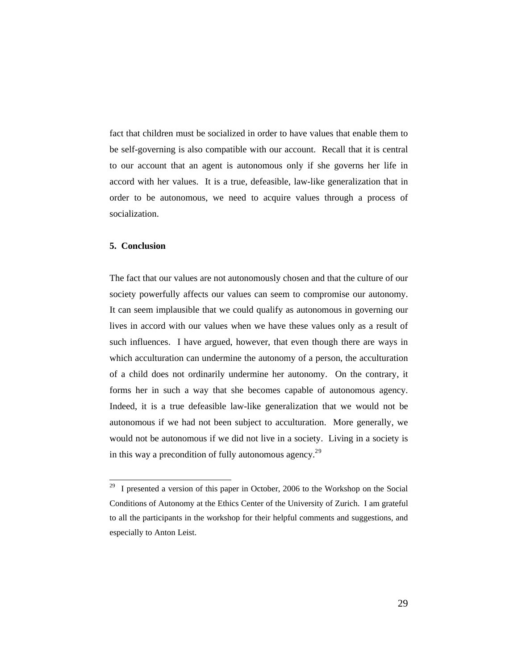fact that children must be socialized in order to have values that enable them to be self-governing is also compatible with our account. Recall that it is central to our account that an agent is autonomous only if she governs her life in accord with her values. It is a true, defeasible, law-like generalization that in order to be autonomous, we need to acquire values through a process of socialization.

#### **5. Conclusion**

1

 The fact that our values are not autonomously chosen and that the culture of our society powerfully affects our values can seem to compromise our autonomy. It can seem implausible that we could qualify as autonomous in governing our lives in accord with our values when we have these values only as a result of such influences. I have argued, however, that even though there are ways in which acculturation can undermine the autonomy of a person, the acculturation of a child does not ordinarily undermine her autonomy. On the contrary, it forms her in such a way that she becomes capable of autonomous agency. Indeed, it is a true defeasible law-like generalization that we would not be autonomous if we had not been subject to acculturation. More generally, we would not be autonomous if we did not live in a society. Living in a society is in this way a precondition of fully autonomous agency.<sup>2[9](#page-28-0)</sup>

<span id="page-28-0"></span> $29$  I presented a version of this paper in October, 2006 to the Workshop on the Social Conditions of Autonomy at the Ethics Center of the University of Zurich. I am grateful to all the participants in the workshop for their helpful comments and suggestions, and especially to Anton Leist.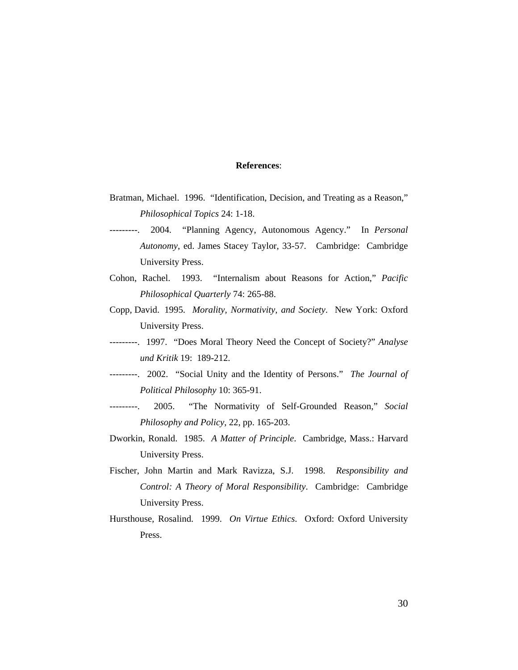### **References**:

- Bratman, Michael. 1996. "Identification, Decision, and Treating as a Reason," *Philosophical Topics* 24: 1-18.
- ---------. 2004. "Planning Agency, Autonomous Agency." In *Personal Autonomy*, ed. James Stacey Taylor, 33-57. Cambridge: Cambridge University Press.
- Cohon, Rachel. 1993. "Internalism about Reasons for Action," *Pacific Philosophical Quarterly* 74: 265-88.
- Copp, David. 1995. *Morality, Normativity, and Society*. New York: Oxford University Press.
- ---------. 1997. "Does Moral Theory Need the Concept of Society?" *Analyse und Kritik* 19: 189-212.
- ---------. 2002. "Social Unity and the Identity of Persons." *The Journal of Political Philosophy* 10: 365-91.
- ---------. 2005. "The Normativity of Self-Grounded Reason," *Social Philosophy and Policy*, 22, pp. 165-203.
- Dworkin, Ronald. 1985. *A Matter of Principle*. Cambridge, Mass.: Harvard University Press.
- Fischer, John Martin and Mark Ravizza, S.J. 1998. *Responsibility and Control: A Theory of Moral Responsibility*. Cambridge: Cambridge University Press.
- Hursthouse, Rosalind. 1999. *On Virtue Ethics*. Oxford: Oxford University Press.